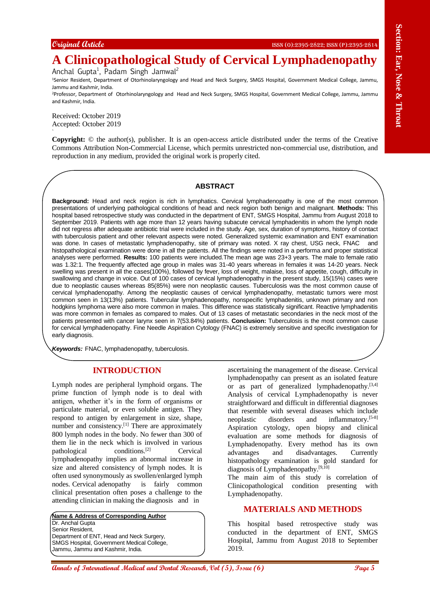# **A Clinicopathological Study of Cervical Lymphadenopathy**

Anchal Gupta<sup>1</sup>, Padam Singh Jamwal<sup>2</sup>

<sup>1</sup>Senior Resident, Department of Otorhinolaryngology and Head and Neck Surgery, SMGS Hospital, Government Medical College, Jammu, Jammu and Kashmir, India.

<sup>2</sup>Professor, Department of Otorhinolaryngology and Head and Neck Surgery, SMGS Hospital, Government Medical College, Jammu, Jammu and Kashmir, India.

Received: October 2019 Accepted: October 2019

`

**Copyright:** © the author(s), publisher. It is an open-access article distributed under the terms of the Creative Commons Attribution Non-Commercial License, which permits unrestricted non-commercial use, distribution, and reproduction in any medium, provided the original work is properly cited.

#### **ABSTRACT**

Customer *Center* **And A Ansal Conserversity** of **Cervical Lymphadenopality**<br> **A. Clinicopalitely entropy of Cervical Lymphadenopality**<br> **And Clinicopalitely of Cervical Lymphadenopality is**  $\frac{2}{3}$ **<br>
<b>Annals of the c Background:** Head and neck region is rich in lymphatics. Cervical lymphadenopathy is one of the most common presentations of underlying pathological conditions of head and neck region both benign and malignant. **Methods:** This hospital based retrospective study was conducted in the department of ENT, SMGS Hospital, Jammu from August 2018 to September 2019. Patients with age more than 12 years having subacute cervical lymphadenitis in whom the lymph node did not regress after adequate antibiotic trial were included in the study. Age, sex, duration of symptoms, history of contact with tuberculosis patient and other relevant aspects were noted. Generalized systemic examination and ENT examination was done. In cases of metastatic lymphadenopathy, site of primary was noted. X ray chest, USG neck, FNAC and histopathological examination were done in all the patients. All the findings were noted in a performa and proper statistical analyses were performed. **Results:** 100 patients were included.The mean age was 23+3 years. The male to female ratio was 1.32:1. The frequently affected age group in males was 31-40 years whereas in females it was 14-20 years. Neck swelling was present in all the cases(100%), followed by fever, loss of weight, malaise, loss of appetite, cough, difficulty in swallowing and change in voice. Out of 100 cases of cervical lymphadenopathy in the present study, 15(15%) cases were due to neoplastic causes whereas 85(85%) were non neoplastic causes. Tuberculosis was the most common cause of cervical lymphadenopathy. Among the neoplastic causes of cervical lymphadenopathy, metastatic tumors were most common seen in 13(13%) patients. Tubercular lymphadenopathy, nonspecific lymphadenitis, unknown primary and non hodgkins lymphoma were also more common in males. This difference was statistically significant. Reactive lymphadenitis was more common in females as compared to males. Out of 13 cases of metastatic secondaries in the neck most of the patients presented with cancer larynx seen in 7(53.84%) patients. **Conclusion:** Tuberculosis is the most common cause for cervical lymphadenopathy. Fine Needle Aspiration Cytology (FNAC) is extremely sensitive and specific investigation for early diagnosis.

*Keywords:* FNAC, lymphadenopathy, tuberculosis.

## **INTRODUCTION**

Lymph nodes are peripheral lymphoid organs. The prime function of lymph node is to deal with antigen, whether it's in the form of organisms or particulate material, or even soluble antigen. They respond to antigen by enlargement in size, shape, number and consistency.[1] There are approximately 800 lymph nodes in the body. No fewer than 300 of them lie in the neck which is involved in various pathological conditions.<sup>[2]</sup> Cervical lymphadenopathy implies an abnormal increase in size and altered consistency of lymph nodes. It is often used synonymously as swollen/enlarged lymph nodes. Cervical adenopathy is fairly common clinical presentation often poses a challenge to the attending clinician in making the diagnosis and in

**Name & Address of Corresponding Author** Dr. Anchal Gupta Senior Resident, Department of ENT, Head and Neck Surgery, SMGS Hospital, Government Medical College, Jammu, Jammu and Kashmir, India.

ascertaining the management of the disease. Cervical lymphadenopathy can present as an isolated feature or as part of generalized lymphadenopathy.[3,4] Analysis of cervical Lymphadenopathy is never straightforward and difficult in differential diagnoses that resemble with several diseases which include neoplastic disorders and inflammatory.[5-8] Aspiration cytology, open biopsy and clinical evaluation are some methods for diagnosis of Lymphadenopathy. Every method has its own advantages and disadvantages. Currently histopathology examination is gold standard for diagnosis of Lymphadenopathy.<sup>[9,10]</sup>

The main aim of this study is correlation of Clinicopathological condition presenting with Lymphadenopathy.

## **MATERIALS AND METHODS**

This hospital based retrospective study was conducted in the department of ENT, SMGS Hospital, Jammu from August 2018 to September 2019.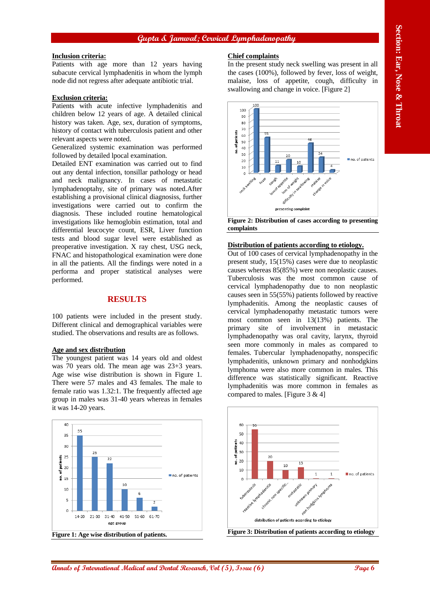## **Gupta & Jamwal; Cervical Lymphadenopathy**

#### **Inclusion criteria:**

Patients with age more than 12 years having subacute cervical lymphadenitis in whom the lymph node did not regress after adequate antibiotic trial.

#### **Exclusion criteria:**

Patients with acute infective lymphadenitis and children below 12 years of age. A detailed clinical history was taken. Age, sex, duration of symptoms, history of contact with tuberculosis patient and other relevant aspects were noted.

Generalized systemic examination was performed followed by detailed lpocal examination.

Detailed ENT examination was carried out to find out any dental infection, tonsillar pathology or head and neck malignancy. In cases of metastatic lymphadenoptahy, site of primary was noted.After establishing a provisional clinical diagnosiss, further investigations were carried out to confirm the diagnosis. These included routine hematological investigations like hemoglobin estimation, total and differential leucocyte count, ESR, Liver function tests and blood sugar level were established as preoperative investigation. X ray chest, USG neck, FNAC and histopathological examination were done in all the patients. All the findings were noted in a performa and proper statistical analyses were performed.

### **RESULTS**

100 patients were included in the present study. Different clinical and demographical variables were studied. The observations and results are as follows.

#### **Age and sex distribution**

The youngest patient was 14 years old and oldest was 70 years old. The mean age was 23+3 years. Age wise wise distribution is shown in Figure 1. There were 57 males and 43 females. The male to female ratio was 1.32:1. The frequently affected age group in males was 31-40 years whereas in females it was 14-20 years.



#### **Chief complaints**

In the present study neck swelling was present in all the cases (100%), followed by fever, loss of weight, malaise, loss of appetite, cough, difficulty in swallowing and change in voice. [Figure 2]



**Figure 2: Distribution of cases according to presenting complaints**

#### **Distribution of patients according to etiology.**

Out of 100 cases of cervical lymphadenopathy in the present study, 15(15%) cases were due to neoplastic causes whereas 85(85%) were non neoplastic causes. Tuberculosis was the most common cause of cervical lymphadenopathy due to non neoplastic causes seen in 55(55%) patients followed by reactive lymphadenitis. Among the neoplastic causes of cervical lymphadenopathy metastatic tumors were most common seen in 13(13%) patients. The primary site of involvement in metastacic lymphadenopathy was oral cavity, larynx, thyroid seen more commonly in males as compared to females. Tubercular lymphadenopathy, nonspecific lymphadenitis, unknown primary and nonhodgkins lymphoma were also more common in males. This difference was statistically significant. Reactive lymphadenitis was more common in females as compared to males. [Figure 3 & 4]

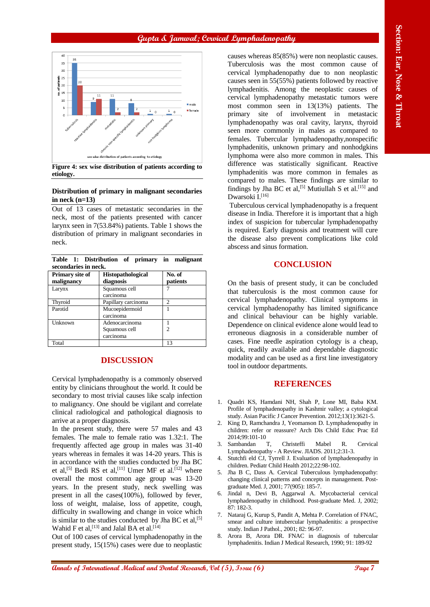## **Gupta & Jamwal; Cervical Lymphadenopathy**



**etiology.**

#### **Distribution of primary in malignant secondaries in neck (n=13)**

Out of 13 cases of metastatic secondaries in the neck, most of the patients presented with cancer larynx seen in 7(53.84%) patients. Table 1 shows the distribution of primary in malignant secondaries in neck.

**Table 1: Distribution of primary in malignant secondaries in neck.**

| Primary site of<br>malignancy | <b>Histopathological</b><br>diagnosis        | No. of<br>patients |
|-------------------------------|----------------------------------------------|--------------------|
| Larynx                        | Squamous cell<br>carcinoma                   |                    |
| Thyroid                       | Papillary carcinoma                          | $\mathfrak{D}$     |
| Parotid                       | Mucoepidermoid<br>carcinoma                  |                    |
| Unknown                       | Adenocarcinoma<br>Squamous cell<br>carcinoma | C                  |
| Total                         |                                              | 13                 |

## **DISCUSSION**

Cervical lymphadenopathy is a commonly observed entity by clinicians throughout the world. It could be secondary to most trivial causes like scalp infection to malignancy. One should be vigilant and correlate clinical radiological and pathological diagnosis to arrive at a proper diagnosis.

In the present study, there were 57 males and 43 females. The male to female ratio was 1.32:1. The frequently affected age group in males was 31-40 years whereas in females it was 14-20 years. This is in accordance with the studies conducted by Jha BC et al,<sup>[5]</sup> Bedi RS et al,<sup>[11]</sup> Umer MF et al.<sup>[12]</sup> where overall the most common age group was 13-20 years. In the present study, neck swelling was present in all the cases(100%), followed by fever, loss of weight, malaise, loss of appetite, cough, difficulty in swallowing and change in voice which is similar to the studies conducted by Jha BC et al,  $[5]$ Wahid F et al, [13] and Jalal BA et al. [14]

Out of 100 cases of cervical lymphadenopathy in the present study, 15(15%) cases were due to neoplastic

**Annals of International Medical and Theorem Constructional Theorem Constructional Constructional and Theorem Constructional and Dental Annals of International Annals of International Constructional Constructional and The** causes whereas 85(85%) were non neoplastic causes. Tuberculosis was the most common cause of cervical lymphadenopathy due to non neoplastic causes seen in 55(55%) patients followed by reactive lymphadenitis. Among the neoplastic causes of cervical lymphadenopathy metastatic tumors were most common seen in 13(13%) patients. The primary site of involvement in metastacic lymphadenopathy was oral cavity, larynx, thyroid seen more commonly in males as compared to females. Tubercular lymphadenopathy,nonspecific lymphadenitis, unknown primary and nonhodgkins lymphoma were also more common in males. This difference was statistically significant. Reactive lymphadenitis was more common in females as compared to males. These findings are similar to findings by Jha BC et al.<sup>[5]</sup> Mutiullah S et al.<sup>[15]</sup> and Dwarsoki I.<sup>[16]</sup>

Tuberculous cervical lymphadenopathy is a frequent disease in India. Therefore it is important that a high index of suspicion for tubercular lymphadenopathy is required. Early diagnosis and treatment will cure the disease also prevent complications like cold abscess and sinus formation.

## **CONCLUSION**

On the basis of present study, it can be concluded that tuberculosis is the most common cause for cervical lymphadenopathy. Clinical symptoms in cervical lymphadenopathy has limited significance and clinical behaviour can be highly variable. Dependence on clinical evidence alone would lead to erroneous diagnosis in a considerable number of cases. Fine needle aspiration cytology is a cheap, quick, readily available and dependable diagnostic modality and can be used as a first line investigatory tool in outdoor departments.

#### **REFERENCES**

- 1. Quadri KS, Hamdani NH, Shah P, Lone MI, Baba KM. Profile of lymphadenopathy in Kashmir valley; a cytological study. Asian Pacific J Cancer Prevention. 2012;13(1):3621-5.
- 2. King D, Ramchandra J, Yeomanson D. Lymphadenopathy in children: refer or reassure? Arch Dis Child Educ Prac Ed 2014;99:101-10
- 3. Sambandan T, Christeffi Mabel R. Cervical Lymphadenopathy - A Review. JIADS. 2011;2:31-3.
- Stutchfi eld CJ, Tyrrell J. Evaluation of lymphadenopathy in children. Pediatr Child Health 2012;22:98-102.
- 5. Jha B C, Dass A. Cervical Tuberculous lymphadenopathy: changing clinical patterns and concepts in management. Postgraduate Med. J, 2001; 77(905): 185-7.
- 6. Jindal n, Devi B, Aggarwal A. Mycobacterial cervical lymphadenopathy in childhood. Post-graduate Med. J, 2002; 87: 182-3.
- 7. Nataraj G, Kurup S, Pandit A, Mehta P. Correlation of FNAC, smear and culture intubercular lymphadenitis: a prospective study. Indian J Pathol., 2001; 82: 96-97.
- 8. Arora B, Arora DR. FNAC in diagnosis of tubercular lymphadenitis. Indian J Medical Research, 1990; 91: 189-92